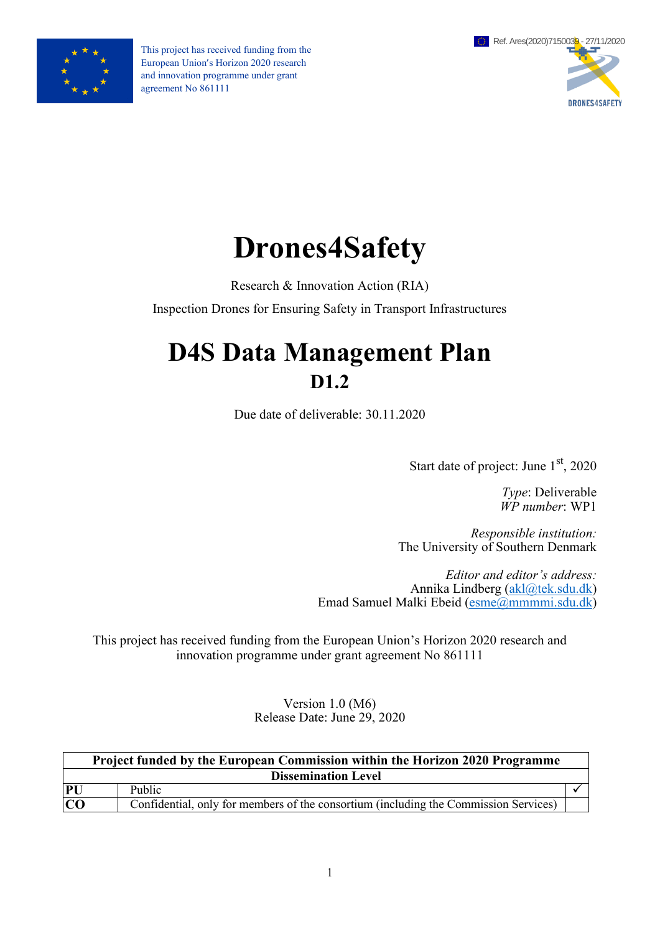

This project has received funding from the European Union's Horizon 2020 research and innovation programme under grant agreement No 861111



# **Drones4Safety**

Research & Innovation Action (RIA)

Inspection Drones for Ensuring Safety in Transport Infrastructures

# **D4S Data Management Plan D1.2**

Due date of deliverable: 30.11.2020

Start date of project: June 1<sup>st</sup>, 2020

*Type*: Deliverable *WP number*: WP1

*Responsible institution:* The University of Southern Denmark

*Editor and editor's address:* Annika Lindberg [\(akl@tek.sdu.dk\)](mailto:akl@tek.sdu.dk) Emad Samuel Malki Ebeid [\(esme@mmmmi.sdu.dk\)](mailto:esme@mmmmi.sdu.dk)

This project has received funding from the European Union's Horizon 2020 research and innovation programme under grant agreement No 861111

> Version 1.0 (M6) Release Date: June 29, 2020

| <b>Project funded by the European Commission within the Horizon 2020 Programme</b> |                                                                                      |  |  |  |  |
|------------------------------------------------------------------------------------|--------------------------------------------------------------------------------------|--|--|--|--|
|                                                                                    | <b>Dissemination Level</b>                                                           |  |  |  |  |
| PU                                                                                 | Public                                                                               |  |  |  |  |
| CO                                                                                 | Confidential, only for members of the consortium (including the Commission Services) |  |  |  |  |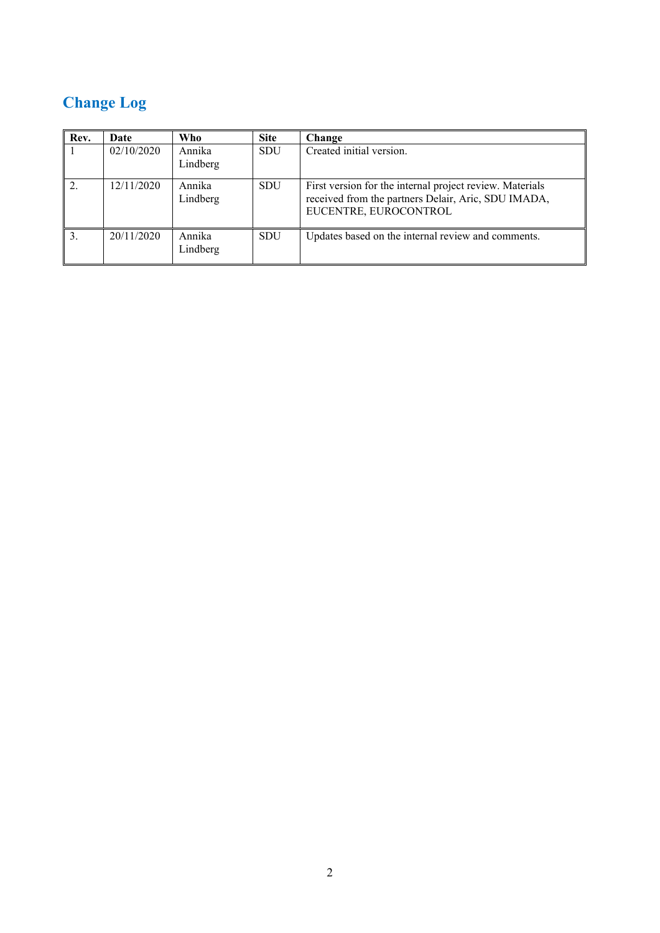# **Change Log**

| Rev. | Date       | Who                | <b>Site</b> | Change                                                                                                                                   |
|------|------------|--------------------|-------------|------------------------------------------------------------------------------------------------------------------------------------------|
|      | 02/10/2020 | Annika<br>Lindberg | <b>SDU</b>  | Created initial version.                                                                                                                 |
|      | 12/11/2020 | Annika<br>Lindberg | <b>SDU</b>  | First version for the internal project review. Materials<br>received from the partners Delair, Aric, SDU IMADA,<br>EUCENTRE, EUROCONTROL |
|      | 20/11/2020 | Annika<br>Lindberg | <b>SDU</b>  | Updates based on the internal review and comments.                                                                                       |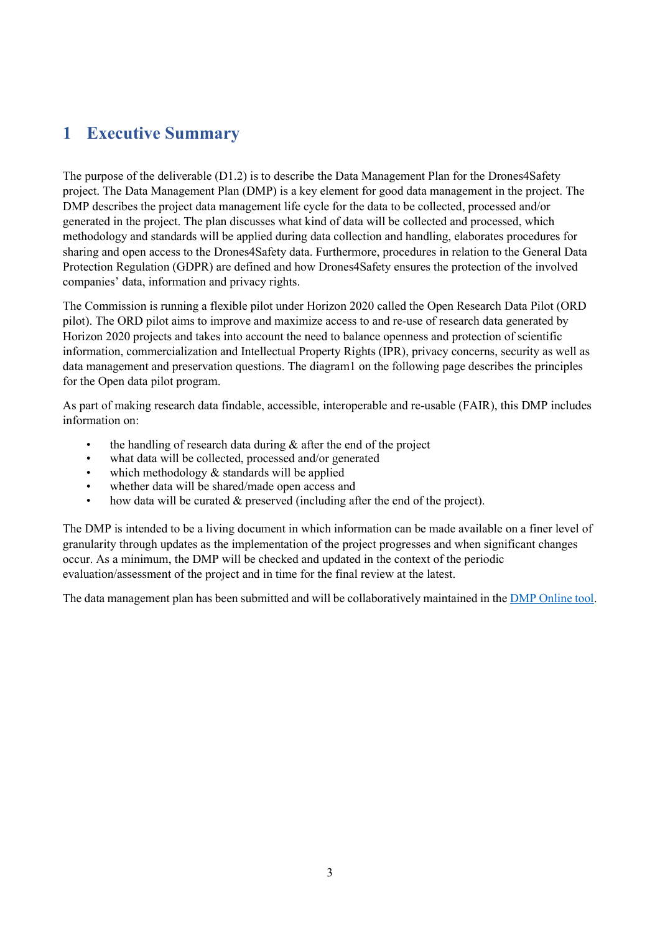### <span id="page-2-0"></span>**1 Executive Summary**

The purpose of the deliverable (D1.2) is to describe the Data Management Plan for the Drones4Safety project. The Data Management Plan (DMP) is a key element for good data management in the project. The DMP describes the project data management life cycle for the data to be collected, processed and/or generated in the project. The plan discusses what kind of data will be collected and processed, which methodology and standards will be applied during data collection and handling, elaborates procedures for sharing and open access to the Drones4Safety data. Furthermore, procedures in relation to the General Data Protection Regulation (GDPR) are defined and how Drones4Safety ensures the protection of the involved companies' data, information and privacy rights.

The Commission is running a flexible pilot under Horizon 2020 called the Open Research Data Pilot (ORD pilot). The ORD pilot aims to improve and maximize access to and re-use of research data generated by Horizon 2020 projects and takes into account the need to balance openness and protection of scientific information, commercialization and Intellectual Property Rights (IPR), privacy concerns, security as well as data management and preservation questions. The diagram1 on the following page describes the principles for the Open data pilot program.

As part of making research data findable, accessible, interoperable and re-usable (FAIR), this DMP includes information on:

- the handling of research data during  $\&$  after the end of the project
- what data will be collected, processed and/or generated
- which methodology  $&$  standards will be applied
- whether data will be shared/made open access and
- how data will be curated  $&$  preserved (including after the end of the project).

The DMP is intended to be a living document in which information can be made available on a finer level of granularity through updates as the implementation of the project progresses and when significant changes occur. As a minimum, the DMP will be checked and updated in the context of the periodic evaluation/assessment of the project and in time for the final review at the latest.

The data management plan has been submitted and will be collaboratively maintained in the [DMP Online tool.](https://dmponline.deic.dk/)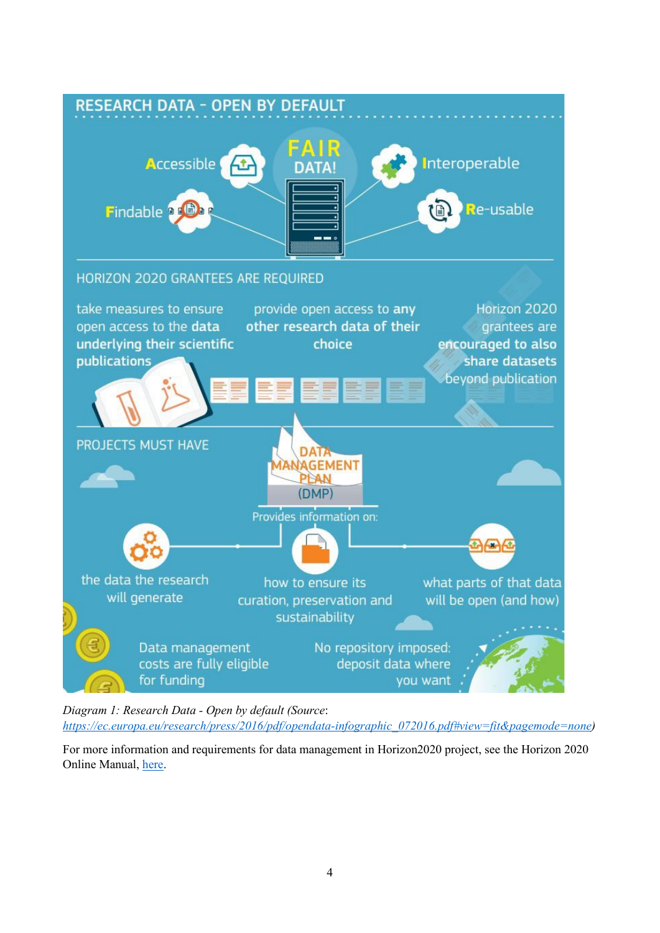

*Diagram 1: Research Data - Open by default (Source*:

*[https://ec.europa.eu/research/press/2016/pdf/opendata-infographic\\_072016.pdf#view=fit&pagemode=none\)](https://ec.europa.eu/research/press/2016/pdf/opendata-infographic_072016.pdf#view=fit&pagemode=none)*

For more information and requirements for data management in Horizon2020 project, see the Horizon 2020 Online Manual, [here.](https://ec.europa.eu/research/participants/docs/h2020-funding-guide/cross-cutting-issues/open-access-data-management/data-management_en.htm)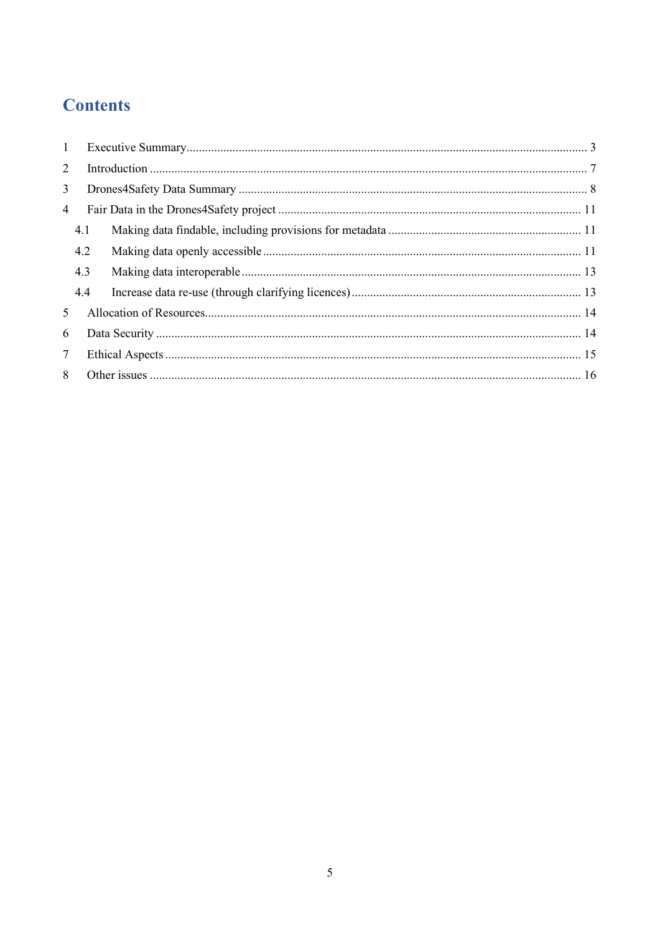# **Contents**

| 1               |     |  |  |  |  |  |
|-----------------|-----|--|--|--|--|--|
| 2               |     |  |  |  |  |  |
| 3 <sup>1</sup>  |     |  |  |  |  |  |
| 4               |     |  |  |  |  |  |
|                 | 4.1 |  |  |  |  |  |
|                 | 4.2 |  |  |  |  |  |
|                 | 4.3 |  |  |  |  |  |
|                 | 4.4 |  |  |  |  |  |
| 5               |     |  |  |  |  |  |
| 6               |     |  |  |  |  |  |
| $7\overline{ }$ |     |  |  |  |  |  |
| 8               |     |  |  |  |  |  |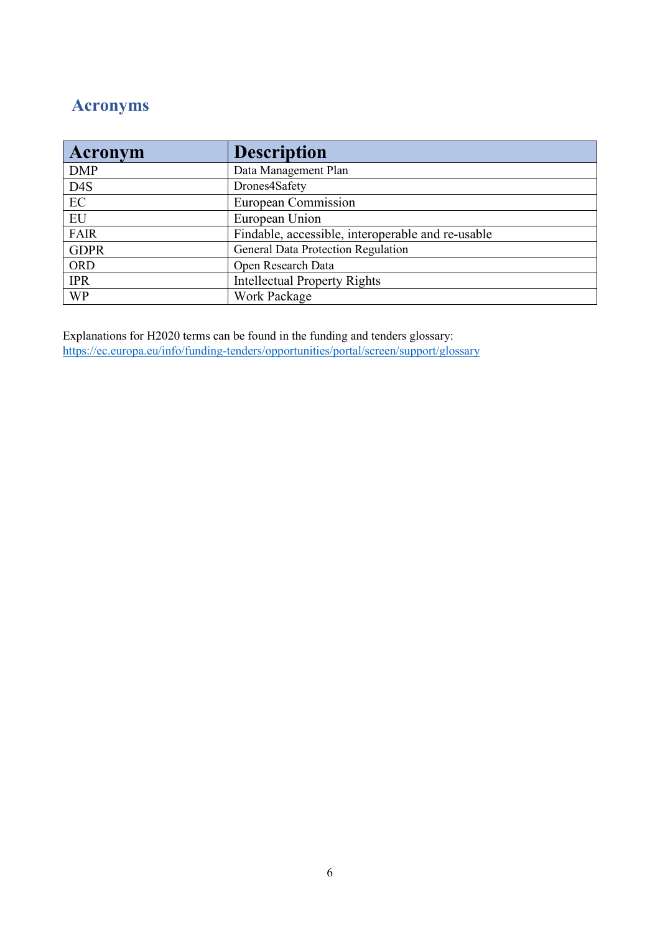# **Acronyms**

| <b>Acronym</b>   | <b>Description</b>                                |
|------------------|---------------------------------------------------|
| <b>DMP</b>       | Data Management Plan                              |
| D <sub>4</sub> S | Drones4Safety                                     |
| EC               | European Commission                               |
| EU               | European Union                                    |
| <b>FAIR</b>      | Findable, accessible, interoperable and re-usable |
| <b>GDPR</b>      | General Data Protection Regulation                |
| <b>ORD</b>       | Open Research Data                                |
| <b>IPR</b>       | <b>Intellectual Property Rights</b>               |
| <b>WP</b>        | Work Package                                      |

Explanations for H2020 terms can be found in the funding and tenders glossary: <https://ec.europa.eu/info/funding-tenders/opportunities/portal/screen/support/glossary>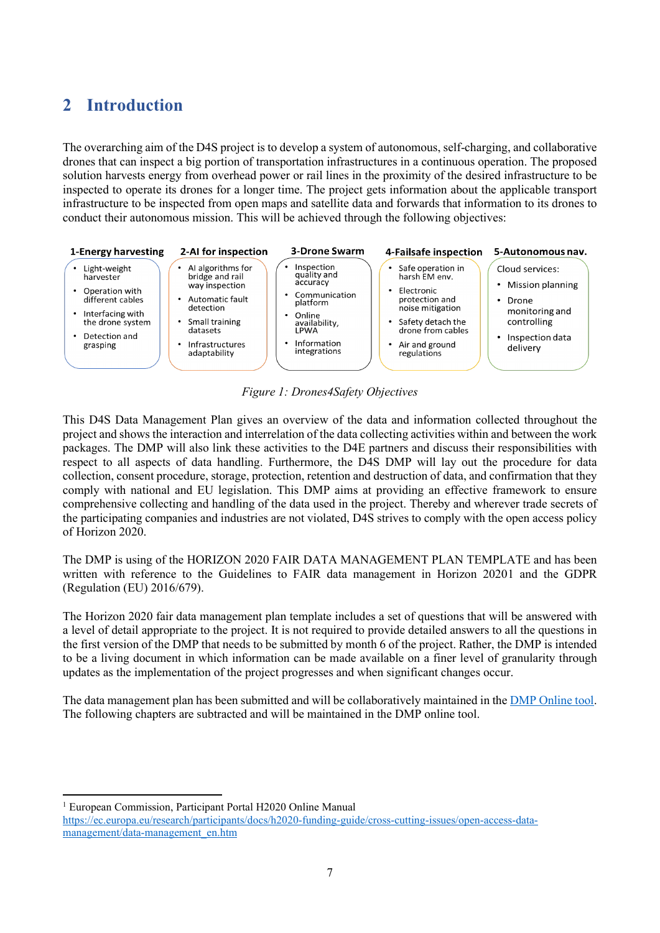### <span id="page-6-0"></span>**2 Introduction**

The overarching aim of the D4S project is to develop a system of autonomous, self-charging, and collaborative drones that can inspect a big portion of transportation infrastructures in a continuous operation. The proposed solution harvests energy from overhead power or rail lines in the proximity of the desired infrastructure to be inspected to operate its drones for a longer time. The project gets information about the applicable transport infrastructure to be inspected from open maps and satellite data and forwards that information to its drones to conduct their autonomous mission. This will be achieved through the following objectives:



*Figure 1: Drones4Safety Objectives*

This D4S Data Management Plan gives an overview of the data and information collected throughout the project and shows the interaction and interrelation of the data collecting activities within and between the work packages. The DMP will also link these activities to the D4E partners and discuss their responsibilities with respect to all aspects of data handling. Furthermore, the D4S DMP will lay out the procedure for data collection, consent procedure, storage, protection, retention and destruction of data, and confirmation that they comply with national and EU legislation. This DMP aims at providing an effective framework to ensure comprehensive collecting and handling of the data used in the project. Thereby and wherever trade secrets of the participating companies and industries are not violated, D4S strives to comply with the open access policy of Horizon 2020.

The DMP is using of the HORIZON 2020 FAIR DATA MANAGEMENT PLAN TEMPLATE and has been written with reference to the Guidelines to FAIR data management in Horizon 2020[1](#page-6-1) and the GDPR (Regulation (EU) 2016/679).

The Horizon 2020 fair data management plan template includes a set of questions that will be answered with a level of detail appropriate to the project. It is not required to provide detailed answers to all the questions in the first version of the DMP that needs to be submitted by month 6 of the project. Rather, the DMP is intended to be a living document in which information can be made available on a finer level of granularity through updates as the implementation of the project progresses and when significant changes occur.

The data management plan has been submitted and will be collaboratively maintained in the [DMP Online](https://dmponline.deic.dk/) tool. The following chapters are subtracted and will be maintained in the DMP online tool.

<span id="page-6-1"></span><sup>1</sup> European Commission, Participant Portal H2020 Online Manual

[https://ec.europa.eu/research/participants/docs/h2020-funding-guide/cross-cutting-issues/open-access-data](https://ec.europa.eu/research/participants/docs/h2020-funding-guide/cross-cutting-issues/open-access-data-management/data-management_en.htm)[management/data-management\\_en.htm](https://ec.europa.eu/research/participants/docs/h2020-funding-guide/cross-cutting-issues/open-access-data-management/data-management_en.htm)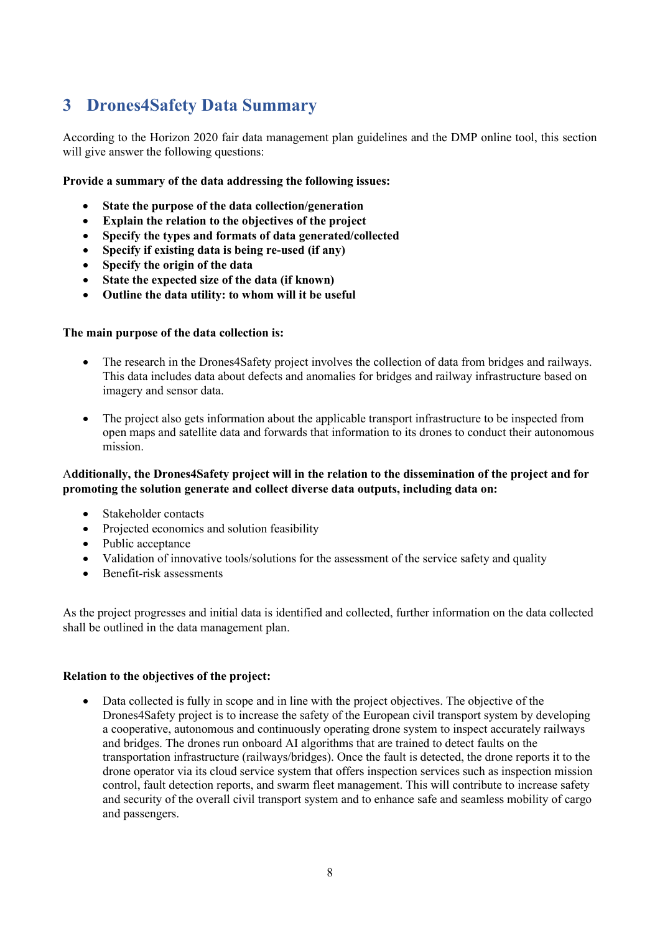### <span id="page-7-0"></span>**3 Drones4Safety Data Summary**

According to the Horizon 2020 fair data management plan guidelines and the DMP online tool, this section will give answer the following questions:

#### **Provide a summary of the data addressing the following issues:**

- **State the purpose of the data collection/generation**
- **Explain the relation to the objectives of the project**
- **Specify the types and formats of data generated/collected**
- **Specify if existing data is being re-used (if any)**
- **Specify the origin of the data**
- **State the expected size of the data (if known)**
- **Outline the data utility: to whom will it be useful**

#### **The main purpose of the data collection is:**

- The research in the Drones4Safety project involves the collection of data from bridges and railways. This data includes data about defects and anomalies for bridges and railway infrastructure based on imagery and sensor data.
- The project also gets information about the applicable transport infrastructure to be inspected from open maps and satellite data and forwards that information to its drones to conduct their autonomous mission.

#### A**dditionally, the Drones4Safety project will in the relation to the dissemination of the project and for promoting the solution generate and collect diverse data outputs, including data on:**

- Stakeholder contacts
- Projected economics and solution feasibility
- Public acceptance
- Validation of innovative tools/solutions for the assessment of the service safety and quality
- Benefit-risk assessments

As the project progresses and initial data is identified and collected, further information on the data collected shall be outlined in the data management plan.

#### **Relation to the objectives of the project:**

• Data collected is fully in scope and in line with the project objectives. The objective of the Drones4Safety project is to increase the safety of the European civil transport system by developing a cooperative, autonomous and continuously operating drone system to inspect accurately railways and bridges. The drones run onboard AI algorithms that are trained to detect faults on the transportation infrastructure (railways/bridges). Once the fault is detected, the drone reports it to the drone operator via its cloud service system that offers inspection services such as inspection mission control, fault detection reports, and swarm fleet management. This will contribute to increase safety and security of the overall civil transport system and to enhance safe and seamless mobility of cargo and passengers.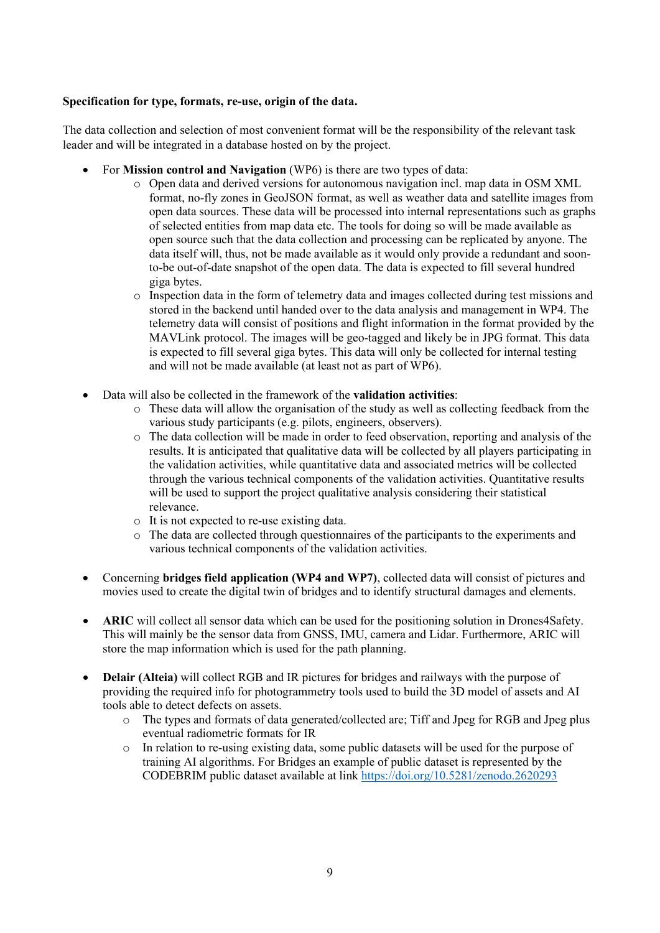#### **Specification for type, formats, re-use, origin of the data.**

The data collection and selection of most convenient format will be the responsibility of the relevant task leader and will be integrated in a database hosted on by the project.

- For **Mission control and Navigation** (WP6) is there are two types of data:
	- $\circ$  Open data and derived versions for autonomous navigation incl. map data in OSM XML format, no-fly zones in GeoJSON format, as well as weather data and satellite images from open data sources. These data will be processed into internal representations such as graphs of selected entities from map data etc. The tools for doing so will be made available as open source such that the data collection and processing can be replicated by anyone. The data itself will, thus, not be made available as it would only provide a redundant and soonto-be out-of-date snapshot of the open data. The data is expected to fill several hundred giga bytes.
	- o Inspection data in the form of telemetry data and images collected during test missions and stored in the backend until handed over to the data analysis and management in WP4. The telemetry data will consist of positions and flight information in the format provided by the MAVLink protocol. The images will be geo-tagged and likely be in JPG format. This data is expected to fill several giga bytes. This data will only be collected for internal testing and will not be made available (at least not as part of WP6).
- Data will also be collected in the framework of the **validation activities**:
	- $\circ$  These data will allow the organisation of the study as well as collecting feedback from the various study participants (e.g. pilots, engineers, observers).
	- o The data collection will be made in order to feed observation, reporting and analysis of the results. It is anticipated that qualitative data will be collected by all players participating in the validation activities, while quantitative data and associated metrics will be collected through the various technical components of the validation activities. Quantitative results will be used to support the project qualitative analysis considering their statistical relevance.
	- o It is not expected to re-use existing data.
	- o The data are collected through questionnaires of the participants to the experiments and various technical components of the validation activities.
- Concerning **bridges field application (WP4 and WP7)**, collected data will consist of pictures and movies used to create the digital twin of bridges and to identify structural damages and elements.
- **ARIC** will collect all sensor data which can be used for the positioning solution in Drones4Safety. This will mainly be the sensor data from GNSS, IMU, camera and Lidar. Furthermore, ARIC will store the map information which is used for the path planning.
- **Delair (Alteia)** will collect RGB and IR pictures for bridges and railways with the purpose of providing the required info for photogrammetry tools used to build the 3D model of assets and AI tools able to detect defects on assets.
	- o The types and formats of data generated/collected are; Tiff and Jpeg for RGB and Jpeg plus eventual radiometric formats for IR
	- o In relation to re-using existing data, some public datasets will be used for the purpose of training AI algorithms. For Bridges an example of public dataset is represented by the CODEBRIM public dataset available at link <https://doi.org/10.5281/zenodo.2620293>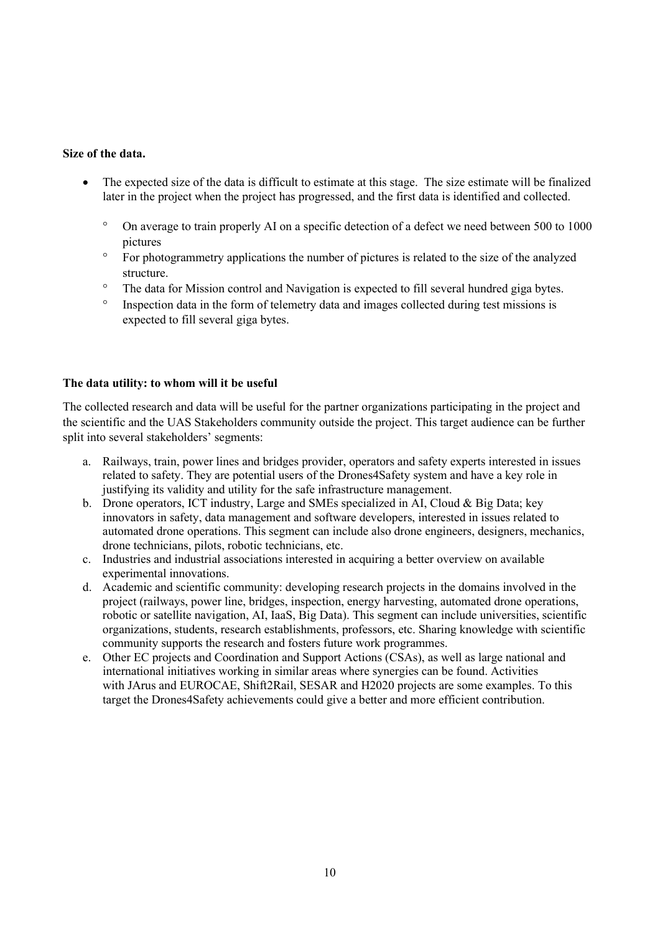#### **Size of the data.**

- The expected size of the data is difficult to estimate at this stage. The size estimate will be finalized later in the project when the project has progressed, and the first data is identified and collected.
	- ° On average to train properly AI on a specific detection of a defect we need between 500 to 1000 pictures
	- ° For photogrammetry applications the number of pictures is related to the size of the analyzed structure.
	- ° The data for Mission control and Navigation is expected to fill several hundred giga bytes.
	- ° Inspection data in the form of telemetry data and images collected during test missions is expected to fill several giga bytes.

#### **The data utility: to whom will it be useful**

The collected research and data will be useful for the partner organizations participating in the project and the scientific and the UAS Stakeholders community outside the project. This target audience can be further split into several stakeholders' segments:

- a. Railways, train, power lines and bridges provider, operators and safety experts interested in issues related to safety. They are potential users of the Drones4Safety system and have a key role in justifying its validity and utility for the safe infrastructure management.
- b. Drone operators, ICT industry, Large and SMEs specialized in AI, Cloud & Big Data; key innovators in safety, data management and software developers, interested in issues related to automated drone operations. This segment can include also drone engineers, designers, mechanics, drone technicians, pilots, robotic technicians, etc.
- c. Industries and industrial associations interested in acquiring a better overview on available experimental innovations.
- d. Academic and scientific community: developing research projects in the domains involved in the project (railways, power line, bridges, inspection, energy harvesting, automated drone operations, robotic or satellite navigation, AI, IaaS, Big Data). This segment can include universities, scientific organizations, students, research establishments, professors, etc. Sharing knowledge with scientific community supports the research and fosters future work programmes.
- e. Other EC projects and Coordination and Support Actions (CSAs), as well as large national and international initiatives working in similar areas where synergies can be found. Activities with JArus and EUROCAE, Shift2Rail, SESAR and H2020 projects are some examples. To this target the Drones4Safety achievements could give a better and more efficient contribution.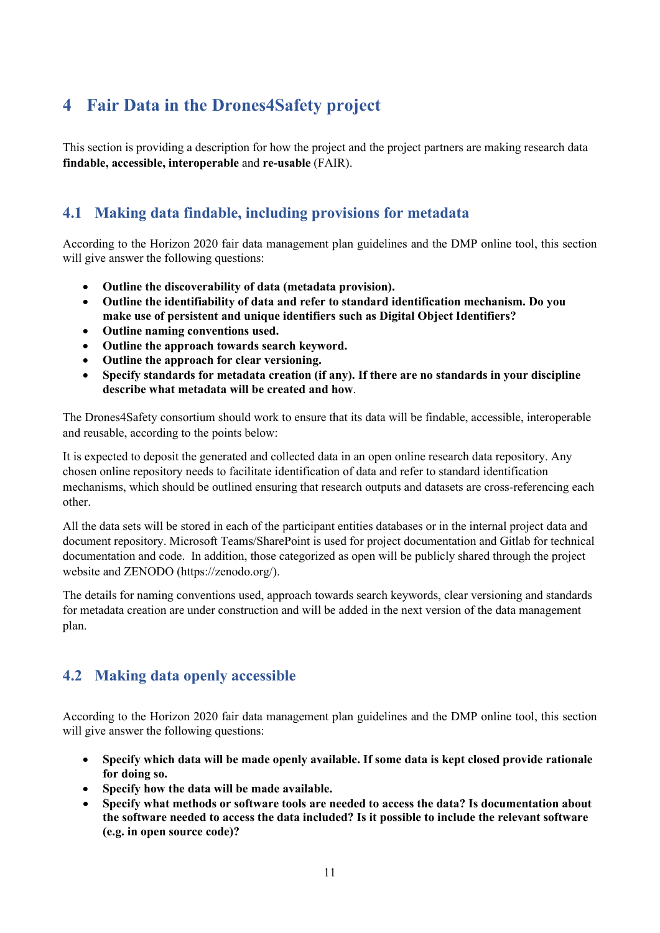### <span id="page-10-0"></span>**4 Fair Data in the Drones4Safety project**

This section is providing a description for how the project and the project partners are making research data **findable, accessible, interoperable** and **re-usable** (FAIR).

### <span id="page-10-1"></span>**4.1 Making data findable, including provisions for metadata**

According to the Horizon 2020 fair data management plan guidelines and the DMP online tool, this section will give answer the following questions:

- **Outline the discoverability of data (metadata provision).**
- **Outline the identifiability of data and refer to standard identification mechanism. Do you make use of persistent and unique identifiers such as Digital Object Identifiers?**
- **Outline naming conventions used.**
- **Outline the approach towards search keyword.**
- **Outline the approach for clear versioning.**
- **Specify standards for metadata creation (if any). If there are no standards in your discipline describe what metadata will be created and how**.

The Drones4Safety consortium should work to ensure that its data will be findable, accessible, interoperable and reusable, according to the points below:

It is expected to deposit the generated and collected data in an open online research data repository. Any chosen online repository needs to facilitate identification of data and refer to standard identification mechanisms, which should be outlined ensuring that research outputs and datasets are cross-referencing each other.

All the data sets will be stored in each of the participant entities databases or in the internal project data and document repository. Microsoft Teams/SharePoint is used for project documentation and Gitlab for technical documentation and code. In addition, those categorized as open will be publicly shared through the project website and ZENODO (https://zenodo.org/).

The details for naming conventions used, approach towards search keywords, clear versioning and standards for metadata creation are under construction and will be added in the next version of the data management plan.

### <span id="page-10-2"></span>**4.2 Making data openly accessible**

According to the Horizon 2020 fair data management plan guidelines and the DMP online tool, this section will give answer the following questions:

- **Specify which data will be made openly available. If some data is kept closed provide rationale for doing so.**
- **Specify how the data will be made available.**
- **Specify what methods or software tools are needed to access the data? Is documentation about the software needed to access the data included? Is it possible to include the relevant software (e.g. in open source code)?**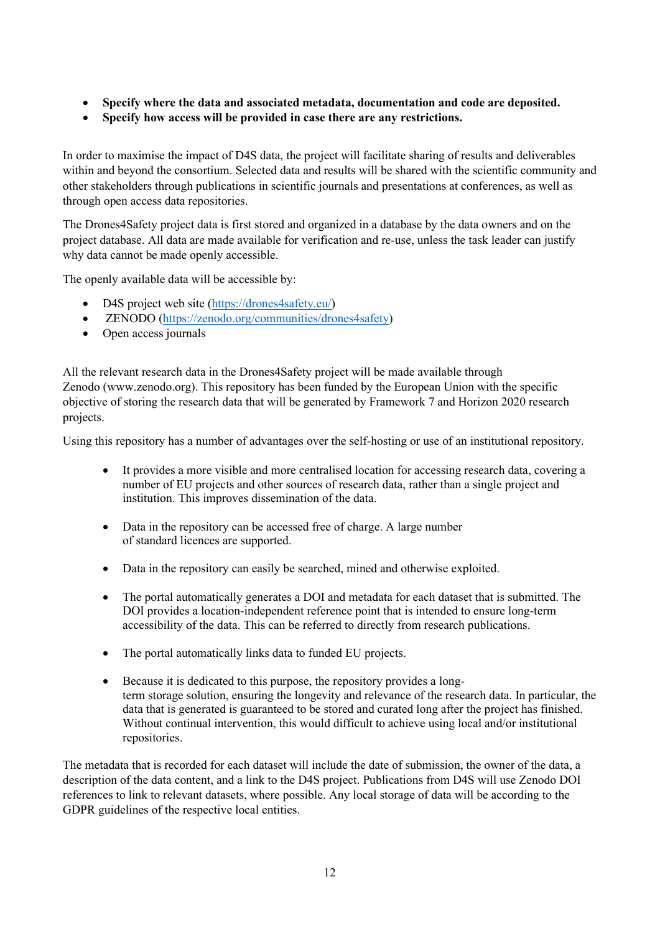- **Specify where the data and associated metadata, documentation and code are deposited.**
- **Specify how access will be provided in case there are any restrictions.**

In order to maximise the impact of D4S data, the project will facilitate sharing of results and deliverables within and beyond the consortium. Selected data and results will be shared with the scientific community and other stakeholders through publications in scientific journals and presentations at conferences, as well as through open access data repositories.

The Drones4Safety project data is first stored and organized in a database by the data owners and on the project database. All data are made available for verification and re-use, unless the task leader can justify why data cannot be made openly accessible.

The openly available data will be accessible by:

- D4S project web site [\(https://drones4safety.eu/\)](https://drones4safety.eu/)
- ZENODO [\(https://zenodo.org/communities/drones4safety\)](https://zenodo.org/communities/drones4safety)
- Open access journals

All the relevant research data in the Drones4Safety project will be made available through Zenodo (www.zenodo.org). This repository has been funded by the European Union with the specific objective of storing the research data that will be generated by Framework 7 and Horizon 2020 research projects.

Using this repository has a number of advantages over the self-hosting or use of an institutional repository.

- It provides a more visible and more centralised location for accessing research data, covering a number of EU projects and other sources of research data, rather than a single project and institution. This improves dissemination of the data.
- Data in the repository can be accessed free of charge. A large number of standard licences are supported.
- Data in the repository can easily be searched, mined and otherwise exploited.
- The portal automatically generates a DOI and metadata for each dataset that is submitted. The DOI provides a location-independent reference point that is intended to ensure long-term accessibility of the data. This can be referred to directly from research publications.
- The portal automatically links data to funded EU projects.
- Because it is dedicated to this purpose, the repository provides a longterm storage solution, ensuring the longevity and relevance of the research data. In particular, the data that is generated is guaranteed to be stored and curated long after the project has finished. Without continual intervention, this would difficult to achieve using local and/or institutional repositories.

The metadata that is recorded for each dataset will include the date of submission, the owner of the data, a description of the data content, and a link to the D4S project. Publications from D4S will use Zenodo DOI references to link to relevant datasets, where possible. Any local storage of data will be according to the GDPR guidelines of the respective local entities.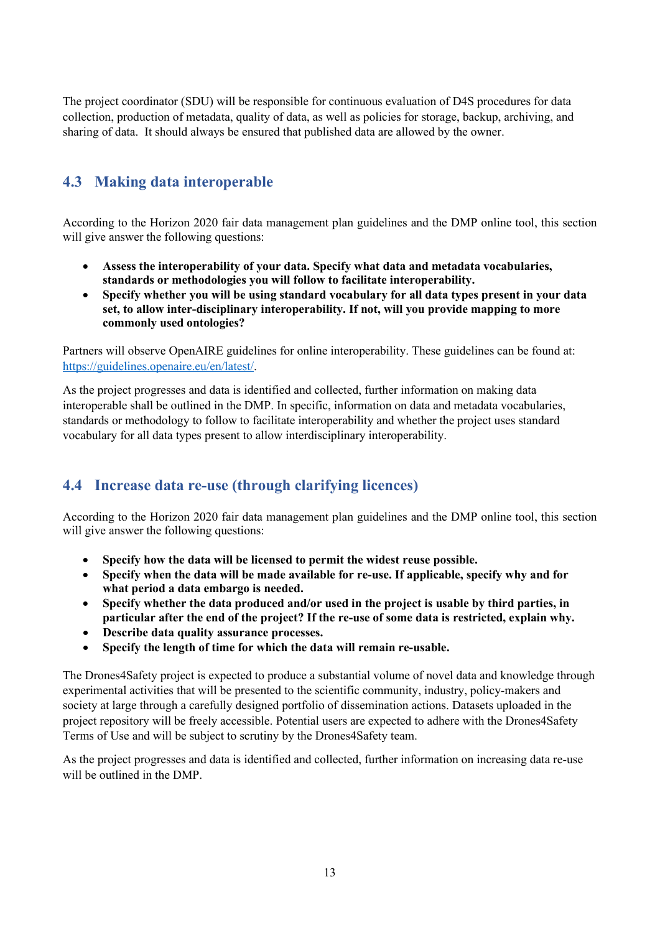The project coordinator (SDU) will be responsible for continuous evaluation of D4S procedures for data collection, production of metadata, quality of data, as well as policies for storage, backup, archiving, and sharing of data. It should always be ensured that published data are allowed by the owner.

### <span id="page-12-0"></span>**4.3 Making data interoperable**

According to the Horizon 2020 fair data management plan guidelines and the DMP online tool, this section will give answer the following questions:

- **Assess the interoperability of your data. Specify what data and metadata vocabularies, standards or methodologies you will follow to facilitate interoperability.**
- **Specify whether you will be using standard vocabulary for all data types present in your data set, to allow inter-disciplinary interoperability. If not, will you provide mapping to more commonly used ontologies?**

Partners will observe OpenAIRE guidelines for online interoperability. These guidelines can be found at: [https://guidelines.openaire.eu/en/latest/.](https://guidelines.openaire.eu/en/latest/)

As the project progresses and data is identified and collected, further information on making data interoperable shall be outlined in the DMP. In specific, information on data and metadata vocabularies, standards or methodology to follow to facilitate interoperability and whether the project uses standard vocabulary for all data types present to allow interdisciplinary interoperability.

### <span id="page-12-1"></span>**4.4 Increase data re-use (through clarifying licences)**

According to the Horizon 2020 fair data management plan guidelines and the DMP online tool, this section will give answer the following questions:

- **Specify how the data will be licensed to permit the widest reuse possible.**
- **Specify when the data will be made available for re-use. If applicable, specify why and for what period a data embargo is needed.**
- **Specify whether the data produced and/or used in the project is usable by third parties, in particular after the end of the project? If the re-use of some data is restricted, explain why.**
- **Describe data quality assurance processes.**
- **Specify the length of time for which the data will remain re-usable.**

The Drones4Safety project is expected to produce a substantial volume of novel data and knowledge through experimental activities that will be presented to the scientific community, industry, policy-makers and society at large through a carefully designed portfolio of dissemination actions. Datasets uploaded in the project repository will be freely accessible. Potential users are expected to adhere with the Drones4Safety Terms of Use and will be subject to scrutiny by the Drones4Safety team.

As the project progresses and data is identified and collected, further information on increasing data re-use will be outlined in the DMP.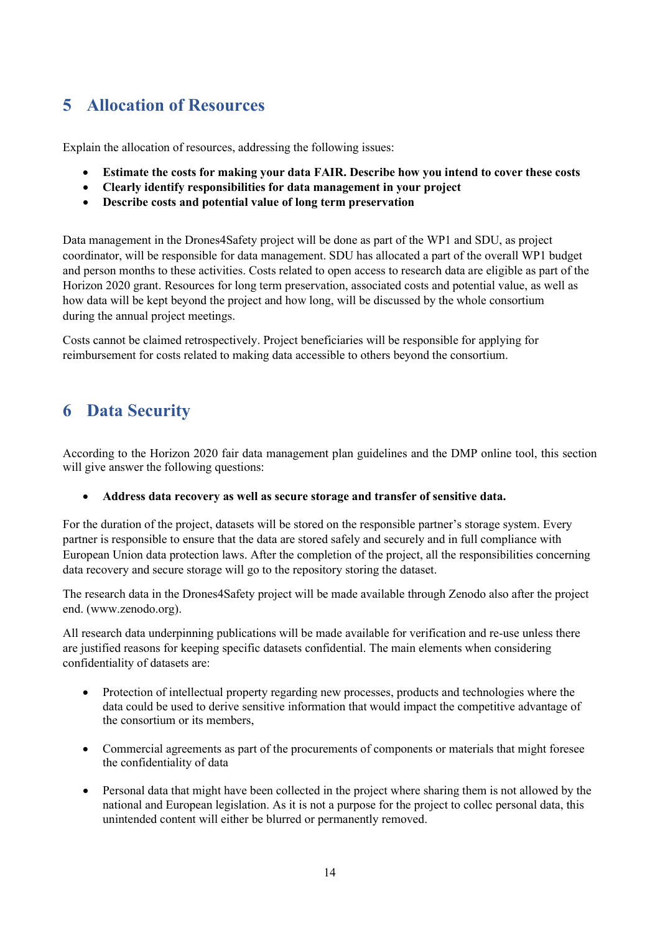### <span id="page-13-0"></span>**5 Allocation of Resources**

Explain the allocation of resources, addressing the following issues:

- **Estimate the costs for making your data FAIR. Describe how you intend to cover these costs**
- **Clearly identify responsibilities for data management in your project**
- **Describe costs and potential value of long term preservation**

Data management in the Drones4Safety project will be done as part of the WP1 and SDU, as project coordinator, will be responsible for data management. SDU has allocated a part of the overall WP1 budget and person months to these activities. Costs related to open access to research data are eligible as part of the Horizon 2020 grant. Resources for long term preservation, associated costs and potential value, as well as how data will be kept beyond the project and how long, will be discussed by the whole consortium during the annual project meetings.

Costs cannot be claimed retrospectively. Project beneficiaries will be responsible for applying for reimbursement for costs related to making data accessible to others beyond the consortium.

### <span id="page-13-1"></span>**6 Data Security**

According to the Horizon 2020 fair data management plan guidelines and the DMP online tool, this section will give answer the following questions:

#### • **Address data recovery as well as secure storage and transfer of sensitive data.**

For the duration of the project, datasets will be stored on the responsible partner's storage system. Every partner is responsible to ensure that the data are stored safely and securely and in full compliance with European Union data protection laws. After the completion of the project, all the responsibilities concerning data recovery and secure storage will go to the repository storing the dataset.

The research data in the Drones4Safety project will be made available through Zenodo also after the project end. (www.zenodo.org).

All research data underpinning publications will be made available for verification and re-use unless there are justified reasons for keeping specific datasets confidential. The main elements when considering confidentiality of datasets are:

- Protection of intellectual property regarding new processes, products and technologies where the data could be used to derive sensitive information that would impact the competitive advantage of the consortium or its members,
- Commercial agreements as part of the procurements of components or materials that might foresee the confidentiality of data
- Personal data that might have been collected in the project where sharing them is not allowed by the national and European legislation. As it is not a purpose for the project to collec personal data, this unintended content will either be blurred or permanently removed.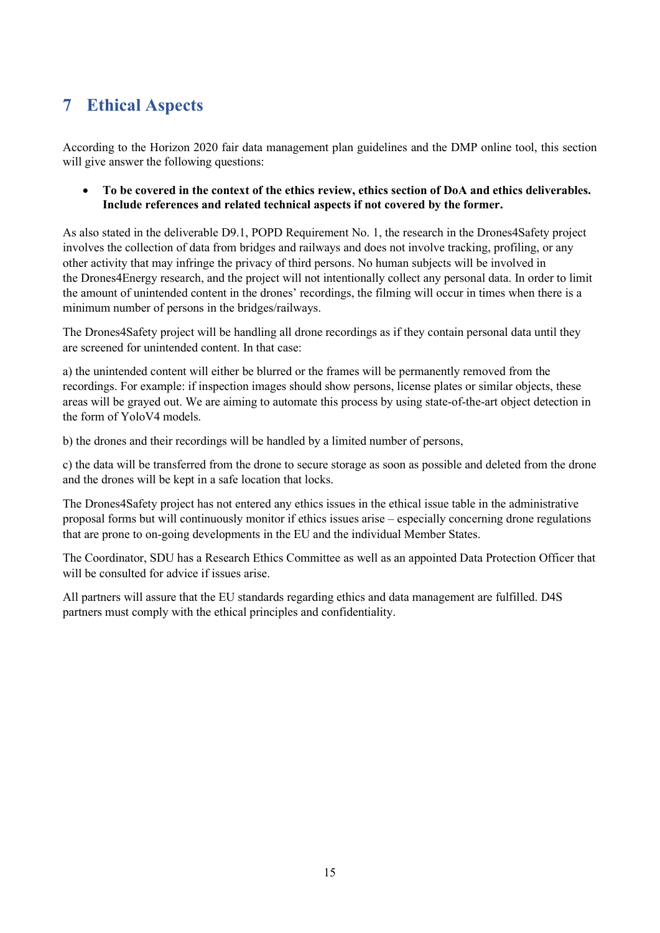## <span id="page-14-0"></span>**7 Ethical Aspects**

According to the Horizon 2020 fair data management plan guidelines and the DMP online tool, this section will give answer the following questions:

• **To be covered in the context of the ethics review, ethics section of DoA and ethics deliverables. Include references and related technical aspects if not covered by the former.**

As also stated in the deliverable D9.1, POPD Requirement No. 1, the research in the Drones4Safety project involves the collection of data from bridges and railways and does not involve tracking, profiling, or any other activity that may infringe the privacy of third persons. No human subjects will be involved in the Drones4Energy research, and the project will not intentionally collect any personal data. In order to limit the amount of unintended content in the drones' recordings, the filming will occur in times when there is a minimum number of persons in the bridges/railways.

The Drones4Safety project will be handling all drone recordings as if they contain personal data until they are screened for unintended content. In that case:

a) the unintended content will either be blurred or the frames will be permanently removed from the recordings. For example: if inspection images should show persons, license plates or similar objects, these areas will be grayed out. We are aiming to automate this process by using state-of-the-art object detection in the form of YoloV4 models.

b) the drones and their recordings will be handled by a limited number of persons,

c) the data will be transferred from the drone to secure storage as soon as possible and deleted from the drone and the drones will be kept in a safe location that locks.

The Drones4Safety project has not entered any ethics issues in the ethical issue table in the administrative proposal forms but will continuously monitor if ethics issues arise – especially concerning drone regulations that are prone to on-going developments in the EU and the individual Member States.

The Coordinator, SDU has a Research Ethics Committee as well as an appointed Data Protection Officer that will be consulted for advice if issues arise.

All partners will assure that the EU standards regarding ethics and data management are fulfilled. D4S partners must comply with the ethical principles and confidentiality.